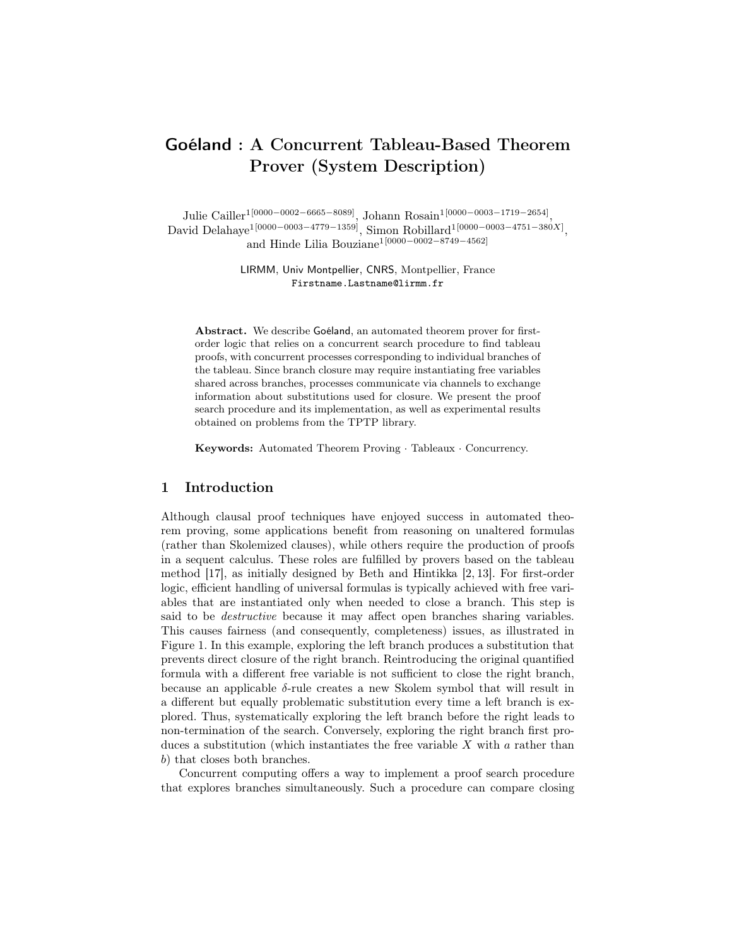# Goéland : A Concurrent Tableau-Based Theorem Prover (System Description)

Julie Cailler<sup>1[0000–0002–6665–8089]</sup>, Johann Rosain<sup>1[0000–0003–1719–2654]</sup>, David Delahaye<sup>1[0000–0003–4779–1359]</sup>, Simon Robillard<sup>1[0000–0003–4751–380X]</sup>, and Hinde Lilia Bouziane<sup>1</sup>[0000−0002−8749−4562]

> LIRMM, Univ Montpellier, CNRS, Montpellier, France Firstname.Lastname@lirmm.fr

Abstract. We describe Goéland, an automated theorem prover for firstorder logic that relies on a concurrent search procedure to find tableau proofs, with concurrent processes corresponding to individual branches of the tableau. Since branch closure may require instantiating free variables shared across branches, processes communicate via channels to exchange information about substitutions used for closure. We present the proof search procedure and its implementation, as well as experimental results obtained on problems from the TPTP library.

Keywords: Automated Theorem Proving · Tableaux · Concurrency.

## 1 Introduction

Although clausal proof techniques have enjoyed success in automated theorem proving, some applications benefit from reasoning on unaltered formulas (rather than Skolemized clauses), while others require the production of proofs in a sequent calculus. These roles are fulfilled by provers based on the tableau method [17], as initially designed by Beth and Hintikka [2, 13]. For first-order logic, efficient handling of universal formulas is typically achieved with free variables that are instantiated only when needed to close a branch. This step is said to be destructive because it may affect open branches sharing variables. This causes fairness (and consequently, completeness) issues, as illustrated in Figure 1. In this example, exploring the left branch produces a substitution that prevents direct closure of the right branch. Reintroducing the original quantified formula with a different free variable is not sufficient to close the right branch, because an applicable  $\delta$ -rule creates a new Skolem symbol that will result in a different but equally problematic substitution every time a left branch is explored. Thus, systematically exploring the left branch before the right leads to non-termination of the search. Conversely, exploring the right branch first produces a substitution (which instantiates the free variable  $X$  with  $a$  rather than b) that closes both branches.

Concurrent computing offers a way to implement a proof search procedure that explores branches simultaneously. Such a procedure can compare closing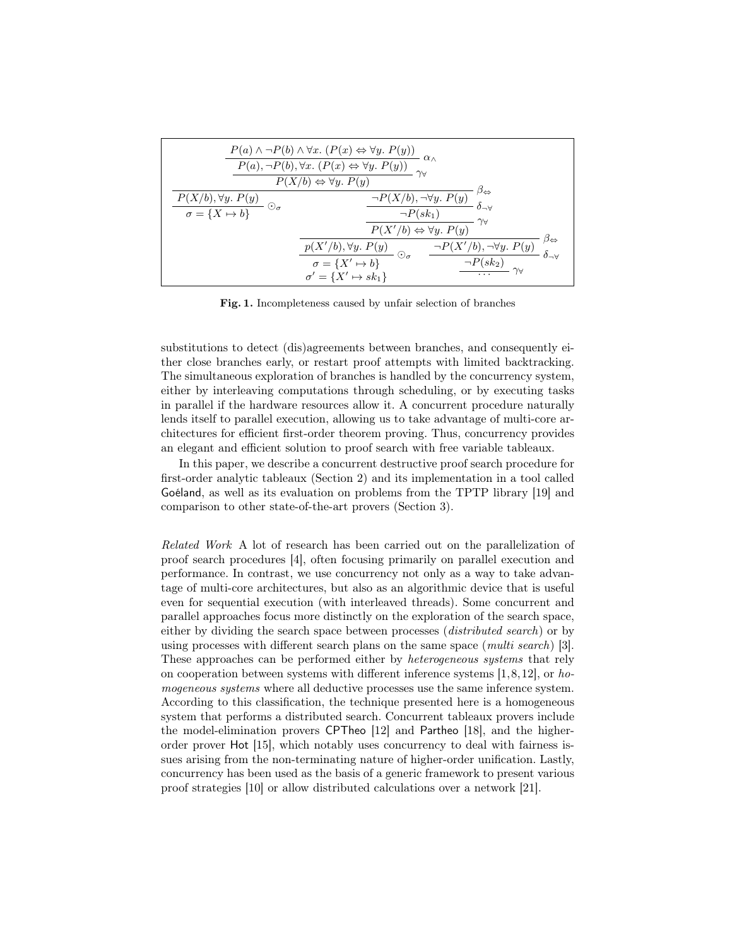| $\frac{P(a) \land \neg P(b) \land \forall x. (P(x) \Leftrightarrow \forall y. P(y))}{P(a), \neg P(b), \forall x. (P(x) \Leftrightarrow \forall y. P(y))} \alpha$<br>$P(X/b) \Leftrightarrow \forall y. P(y)$ |                                                                                                                                                                                               |                                                                                     |  |  |  |
|--------------------------------------------------------------------------------------------------------------------------------------------------------------------------------------------------------------|-----------------------------------------------------------------------------------------------------------------------------------------------------------------------------------------------|-------------------------------------------------------------------------------------|--|--|--|
| $\frac{P(X/b), \forall y. P(y)}{\sigma = \{X \mapsto b\}}$ $\odot_{\sigma}$                                                                                                                                  | $\frac{\neg P(\overline{X/b}), \neg \forall y. P(y)}{\neg P(sk_1)} \overset{\beta \Leftrightarrow}{\delta_{\neg \forall}}$<br>$\gamma_{\forall}$<br>$P(X'/b) \Leftrightarrow \forall y. P(y)$ |                                                                                     |  |  |  |
|                                                                                                                                                                                                              | $\frac{p(X'/b), \forall y.\; P(y)}{\sigma = \{X' \mapsto b\}}\; \odot_{\sigma}$<br>$\sigma' = \{X' \mapsto sk_1\}$                                                                            | $\beta_{\Leftrightarrow}$<br>$\neg P(X'/b), \neg \forall y. P(y)$<br>$\neg P(sk_2)$ |  |  |  |

Fig. 1. Incompleteness caused by unfair selection of branches

substitutions to detect (dis)agreements between branches, and consequently either close branches early, or restart proof attempts with limited backtracking. The simultaneous exploration of branches is handled by the concurrency system, either by interleaving computations through scheduling, or by executing tasks in parallel if the hardware resources allow it. A concurrent procedure naturally lends itself to parallel execution, allowing us to take advantage of multi-core architectures for efficient first-order theorem proving. Thus, concurrency provides an elegant and efficient solution to proof search with free variable tableaux.

In this paper, we describe a concurrent destructive proof search procedure for first-order analytic tableaux (Section 2) and its implementation in a tool called Goéland, as well as its evaluation on problems from the TPTP library [19] and comparison to other state-of-the-art provers (Section 3).

Related Work A lot of research has been carried out on the parallelization of proof search procedures [4], often focusing primarily on parallel execution and performance. In contrast, we use concurrency not only as a way to take advantage of multi-core architectures, but also as an algorithmic device that is useful even for sequential execution (with interleaved threads). Some concurrent and parallel approaches focus more distinctly on the exploration of the search space, either by dividing the search space between processes *(distributed search)* or by using processes with different search plans on the same space (multi search) [3]. These approaches can be performed either by *heterogeneous systems* that rely on cooperation between systems with different inference systems  $[1,8,12]$ , or homogeneous systems where all deductive processes use the same inference system. According to this classification, the technique presented here is a homogeneous system that performs a distributed search. Concurrent tableaux provers include the model-elimination provers CPTheo [12] and Partheo [18], and the higherorder prover Hot [15], which notably uses concurrency to deal with fairness issues arising from the non-terminating nature of higher-order unification. Lastly, concurrency has been used as the basis of a generic framework to present various proof strategies [10] or allow distributed calculations over a network [21].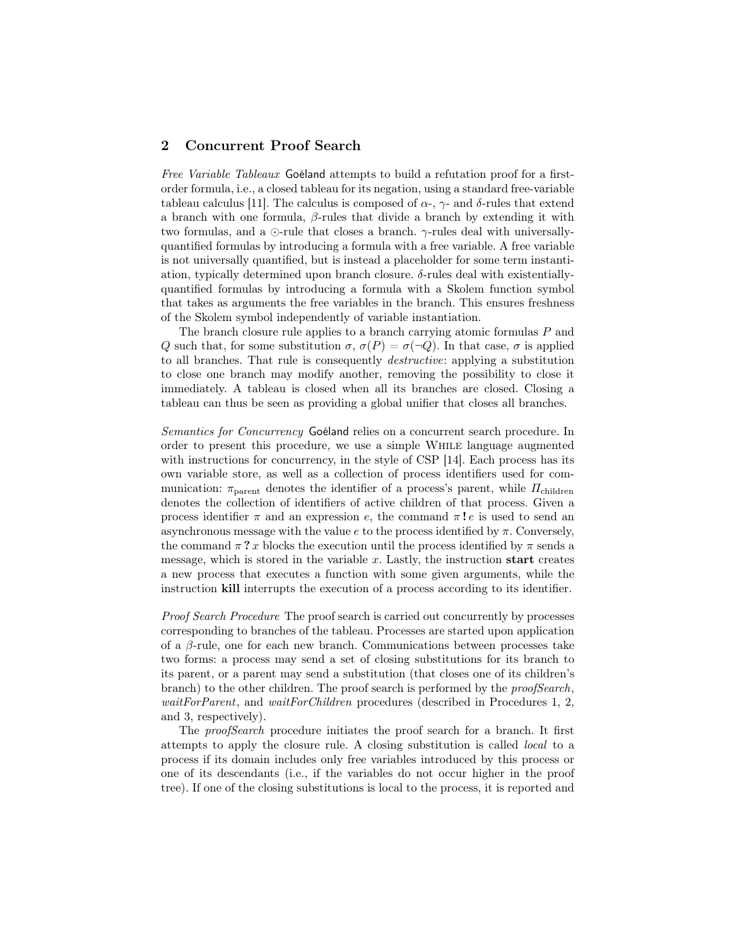# 2 Concurrent Proof Search

Free Variable Tableaux Goéland attempts to build a refutation proof for a firstorder formula, i.e., a closed tableau for its negation, using a standard free-variable tableau calculus [11]. The calculus is composed of  $\alpha$ -,  $\gamma$ - and  $\delta$ -rules that extend a branch with one formula,  $\beta$ -rules that divide a branch by extending it with two formulas, and a  $\odot$ -rule that closes a branch.  $\gamma$ -rules deal with universallyquantified formulas by introducing a formula with a free variable. A free variable is not universally quantified, but is instead a placeholder for some term instantiation, typically determined upon branch closure. δ-rules deal with existentiallyquantified formulas by introducing a formula with a Skolem function symbol that takes as arguments the free variables in the branch. This ensures freshness of the Skolem symbol independently of variable instantiation.

The branch closure rule applies to a branch carrying atomic formulas P and Q such that, for some substitution  $\sigma$ ,  $\sigma(P) = \sigma(\neg Q)$ . In that case,  $\sigma$  is applied to all branches. That rule is consequently destructive: applying a substitution to close one branch may modify another, removing the possibility to close it immediately. A tableau is closed when all its branches are closed. Closing a tableau can thus be seen as providing a global unifier that closes all branches.

Semantics for Concurrency Goéland relies on a concurrent search procedure. In order to present this procedure, we use a simple While language augmented with instructions for concurrency, in the style of CSP [14]. Each process has its own variable store, as well as a collection of process identifiers used for communication:  $\pi_{\text{parent}}$  denotes the identifier of a process's parent, while  $\Pi_{\text{children}}$ denotes the collection of identifiers of active children of that process. Given a process identifier  $\pi$  and an expression e, the command  $\pi$ **!** e is used to send an asynchronous message with the value  $e$  to the process identified by  $\pi$ . Conversely, the command  $\pi$ ? x blocks the execution until the process identified by  $\pi$  sends a message, which is stored in the variable  $x$ . Lastly, the instruction start creates a new process that executes a function with some given arguments, while the instruction kill interrupts the execution of a process according to its identifier.

Proof Search Procedure The proof search is carried out concurrently by processes corresponding to branches of the tableau. Processes are started upon application of a  $\beta$ -rule, one for each new branch. Communications between processes take two forms: a process may send a set of closing substitutions for its branch to its parent, or a parent may send a substitution (that closes one of its children's branch) to the other children. The proof search is performed by the *proofSearch*, *waitForParent*, and *waitForChildren* procedures (described in Procedures 1, 2, and 3, respectively).

The *proofSearch* procedure initiates the proof search for a branch. It first attempts to apply the closure rule. A closing substitution is called local to a process if its domain includes only free variables introduced by this process or one of its descendants (i.e., if the variables do not occur higher in the proof tree). If one of the closing substitutions is local to the process, it is reported and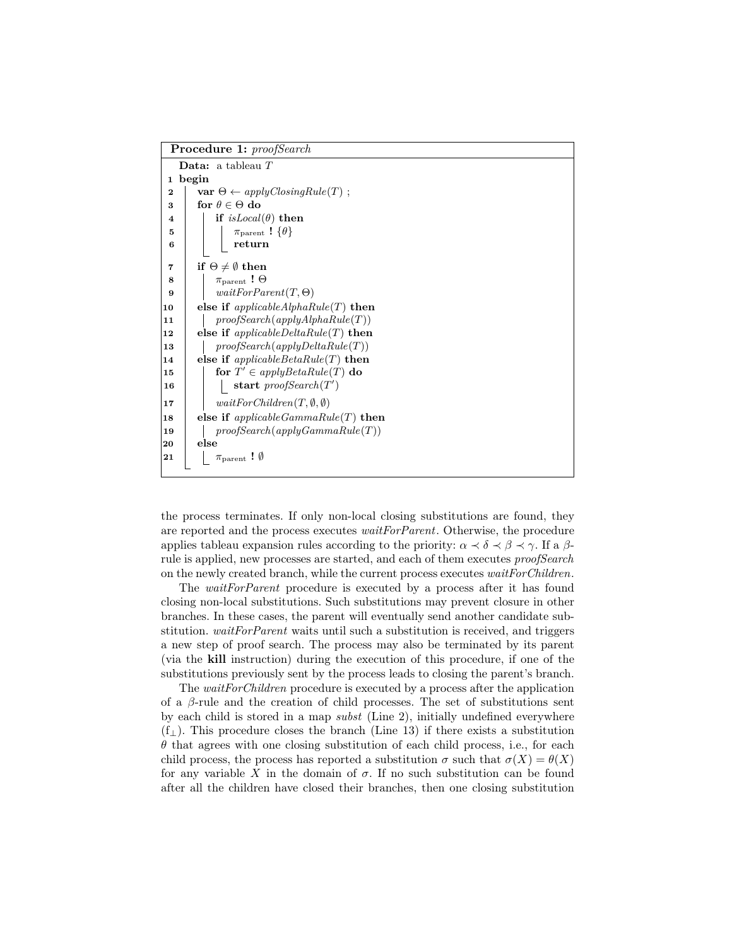| <b>Procedure 1:</b> proofSearch                                       |  |  |  |  |
|-----------------------------------------------------------------------|--|--|--|--|
| <b>Data:</b> a tableau $T$                                            |  |  |  |  |
| begin<br>$\mathbf{1}$                                                 |  |  |  |  |
| $\mathbf{var} \; \Theta \leftarrow applyClosingRule(T)$ ;<br>$\bf{2}$ |  |  |  |  |
| for $\theta \in \Theta$ do<br>3                                       |  |  |  |  |
| if $isLocal(\theta)$ then                                             |  |  |  |  |
| $\pi_{\text{parent}}$ ! $\{\theta\}$                                  |  |  |  |  |
| return                                                                |  |  |  |  |
|                                                                       |  |  |  |  |
| if $\Theta \neq \emptyset$ then                                       |  |  |  |  |
| $\pi_{\text{parent}}$ ! $\Theta$                                      |  |  |  |  |
| $waitForParent(T, \Theta)$                                            |  |  |  |  |
| else if $applicableAlphaRule(T)$ then<br>10                           |  |  |  |  |
| proofSearch(applyAlphaRule(T))                                        |  |  |  |  |
| else if $applicableDeltaRule(T)$ then<br>12                           |  |  |  |  |
| proofSearch(applyDeltaRule(T))                                        |  |  |  |  |
| else if $applicable BetaRule(T)$ then<br>14                           |  |  |  |  |
| for $T' \in applyBetaRule(T)$ do                                      |  |  |  |  |
| start proofSearch $(T')$                                              |  |  |  |  |
| $waitForChildren(T, \emptyset, \emptyset)$                            |  |  |  |  |
| else if $applicable GammaRule(T)$ then                                |  |  |  |  |
| proofSearch(applyGammaRule(T))                                        |  |  |  |  |
| else                                                                  |  |  |  |  |
| $\pi_{\text{parent}}$ ! $\emptyset$                                   |  |  |  |  |
|                                                                       |  |  |  |  |

the process terminates. If only non-local closing substitutions are found, they are reported and the process executes *waitForParent*. Otherwise, the procedure applies tableau expansion rules according to the priority:  $\alpha \prec \delta \prec \beta \prec \gamma$ . If a  $\beta$ rule is applied, new processes are started, and each of them executes *proofSearch* on the newly created branch, while the current process executes *waitForChildren*.

The *waitForParent* procedure is executed by a process after it has found closing non-local substitutions. Such substitutions may prevent closure in other branches. In these cases, the parent will eventually send another candidate substitution. *waitForParent* waits until such a substitution is received, and triggers a new step of proof search. The process may also be terminated by its parent (via the kill instruction) during the execution of this procedure, if one of the substitutions previously sent by the process leads to closing the parent's branch.

The *waitForChildren* procedure is executed by a process after the application of a  $\beta$ -rule and the creation of child processes. The set of substitutions sent by each child is stored in a map *subst* (Line 2), initially undefined everywhere  $(f_{\perp})$ . This procedure closes the branch (Line 13) if there exists a substitution  $\theta$  that agrees with one closing substitution of each child process, i.e., for each child process, the process has reported a substitution  $\sigma$  such that  $\sigma(X) = \theta(X)$ for any variable X in the domain of  $\sigma$ . If no such substitution can be found after all the children have closed their branches, then one closing substitution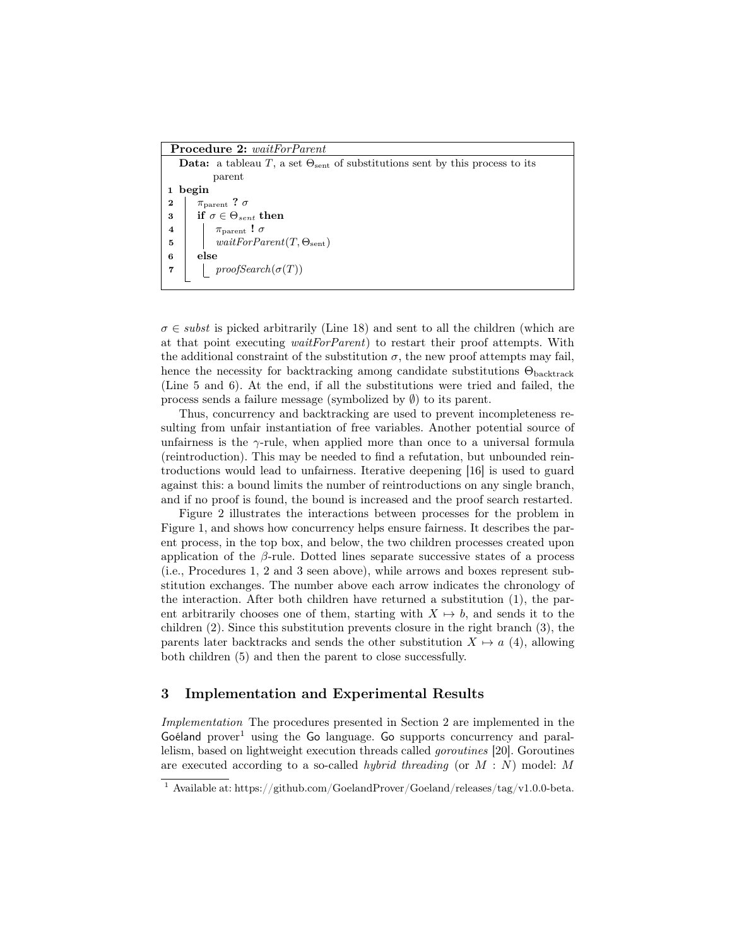Procedure 2: *waitForParent* Data: a tableau T, a set  $\Theta_{\rm sent}$  of substitutions sent by this process to its parent 1 begin 2 |  $\pi_{\text{parent}}$  ?  $\sigma$ 3 if  $\sigma \in \Theta_{sent}$  then 4 |  $\pi_{\text{parent}}$  !  $\sigma$ 5  $\vert$  *waitForParent*(T,  $\Theta_{\text{sent}}$ ) 6 else 7 | proofSearch( $\sigma(T)$ )

 $\sigma \in \mathit{subst}$  is picked arbitrarily (Line 18) and sent to all the children (which are at that point executing *waitForParent*) to restart their proof attempts. With the additional constraint of the substitution  $\sigma$ , the new proof attempts may fail, hence the necessity for backtracking among candidate substitutions  $\Theta_{\text{backward}}$ (Line 5 and 6). At the end, if all the substitutions were tried and failed, the process sends a failure message (symbolized by  $\emptyset$ ) to its parent.

Thus, concurrency and backtracking are used to prevent incompleteness resulting from unfair instantiation of free variables. Another potential source of unfairness is the  $\gamma$ -rule, when applied more than once to a universal formula (reintroduction). This may be needed to find a refutation, but unbounded reintroductions would lead to unfairness. Iterative deepening [16] is used to guard against this: a bound limits the number of reintroductions on any single branch, and if no proof is found, the bound is increased and the proof search restarted.

Figure 2 illustrates the interactions between processes for the problem in Figure 1, and shows how concurrency helps ensure fairness. It describes the parent process, in the top box, and below, the two children processes created upon application of the  $\beta$ -rule. Dotted lines separate successive states of a process (i.e., Procedures 1, 2 and 3 seen above), while arrows and boxes represent substitution exchanges. The number above each arrow indicates the chronology of the interaction. After both children have returned a substitution (1), the parent arbitrarily chooses one of them, starting with  $X \mapsto b$ , and sends it to the children (2). Since this substitution prevents closure in the right branch (3), the parents later backtracks and sends the other substitution  $X \mapsto a$  (4), allowing both children (5) and then the parent to close successfully.

## 3 Implementation and Experimental Results

Implementation The procedures presented in Section 2 are implemented in the  $Goéland prover<sup>1</sup> using the Go language. Go supports concurrency and paral$ lelism, based on lightweight execution threads called goroutines [20]. Goroutines are executed according to a so-called *hybrid threading* (or  $M : N$ ) model: M

<sup>&</sup>lt;sup>1</sup> Available at: https://github.com/GoelandProver/Goeland/releases/tag/v1.0.0-beta.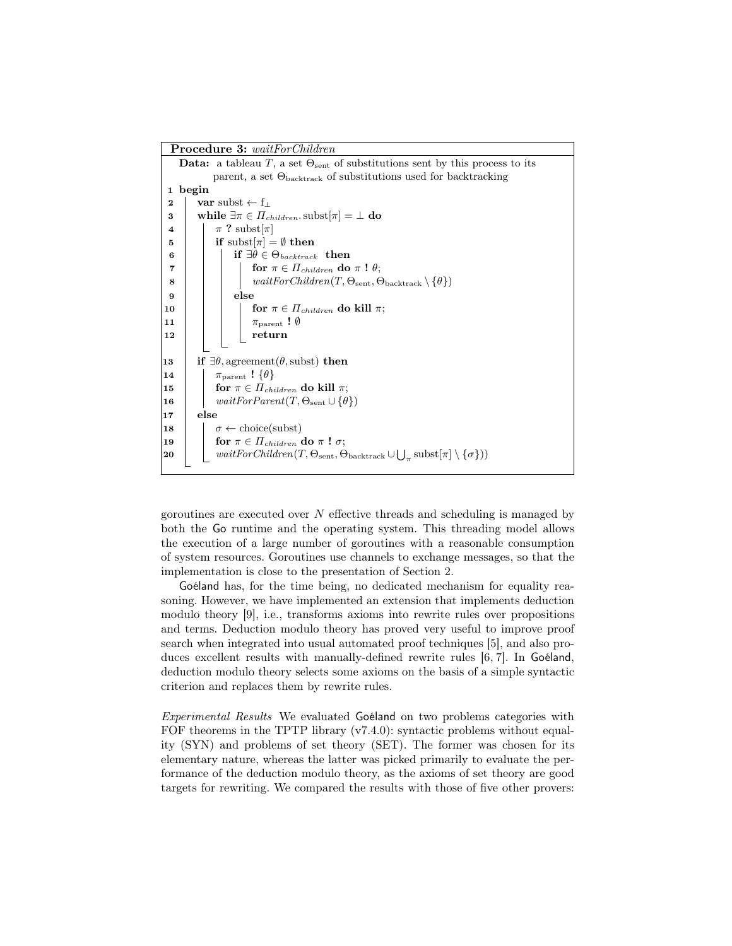

goroutines are executed over  $N$  effective threads and scheduling is managed by both the Go runtime and the operating system. This threading model allows the execution of a large number of goroutines with a reasonable consumption of system resources. Goroutines use channels to exchange messages, so that the implementation is close to the presentation of Section 2.

Goéland has, for the time being, no dedicated mechanism for equality reasoning. However, we have implemented an extension that implements deduction modulo theory [9], i.e., transforms axioms into rewrite rules over propositions and terms. Deduction modulo theory has proved very useful to improve proof search when integrated into usual automated proof techniques [5], and also produces excellent results with manually-defined rewrite rules [6, 7]. In Goéland, deduction modulo theory selects some axioms on the basis of a simple syntactic criterion and replaces them by rewrite rules.

Experimental Results We evaluated Goéland on two problems categories with FOF theorems in the TPTP library (v7.4.0): syntactic problems without equality (SYN) and problems of set theory (SET). The former was chosen for its elementary nature, whereas the latter was picked primarily to evaluate the performance of the deduction modulo theory, as the axioms of set theory are good targets for rewriting. We compared the results with those of five other provers: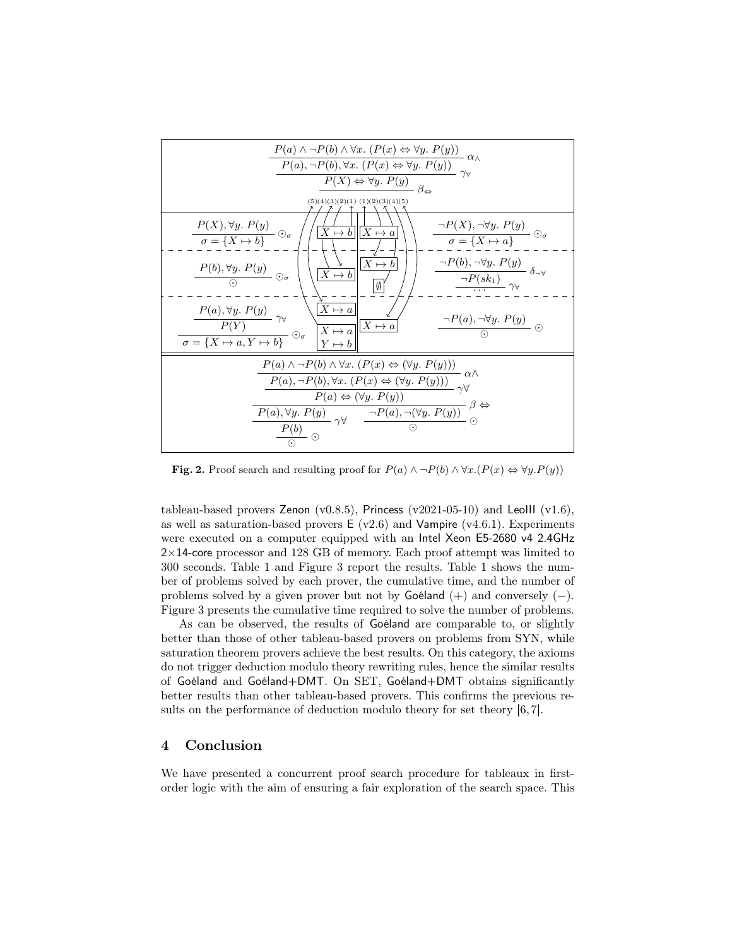

Fig. 2. Proof search and resulting proof for  $P(a) \land \neg P(b) \land \forall x.(P(x) \Leftrightarrow \forall y.P(y))$ 

tableau-based provers Zenon (v0.8.5), Princess (v2021-05-10) and LeoIII (v1.6), as well as saturation-based provers  $E (v2.6)$  and Vampire (v4.6.1). Experiments were executed on a computer equipped with an Intel Xeon E5-2680 v4 2.4GHz  $2\times14$ -core processor and 128 GB of memory. Each proof attempt was limited to 300 seconds. Table 1 and Figure 3 report the results. Table 1 shows the number of problems solved by each prover, the cumulative time, and the number of problems solved by a given prover but not by Goéland  $(+)$  and conversely  $(-)$ . Figure 3 presents the cumulative time required to solve the number of problems.

As can be observed, the results of Goéland are comparable to, or slightly better than those of other tableau-based provers on problems from SYN, while saturation theorem provers achieve the best results. On this category, the axioms do not trigger deduction modulo theory rewriting rules, hence the similar results of Goéland and Goéland+DMT. On SET, Goéland+DMT obtains significantly better results than other tableau-based provers. This confirms the previous results on the performance of deduction modulo theory for set theory [6, 7].

#### 4 Conclusion

We have presented a concurrent proof search procedure for tableaux in firstorder logic with the aim of ensuring a fair exploration of the search space. This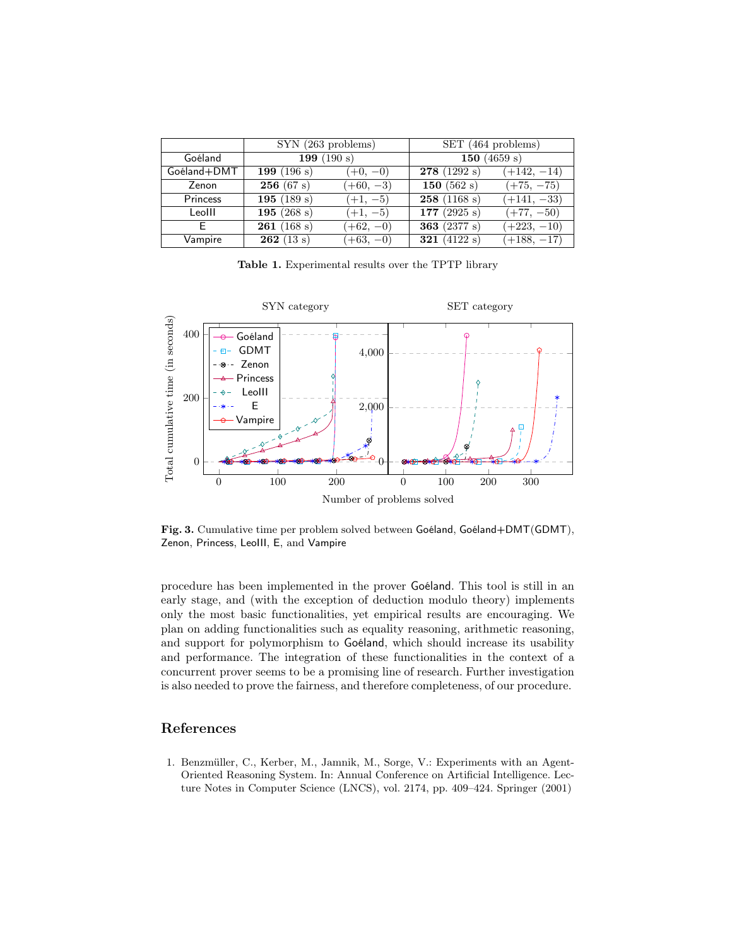|             | SYN (263 problems)       |             | SET (464 problems)        |               |
|-------------|--------------------------|-------------|---------------------------|---------------|
| Goéland     | $\overline{199} (190 s)$ |             | 150 $(4659 s)$            |               |
| Goéland+DMT | 199 $(196 s)$            | $(+0, -0)$  | 278(1292 s)               | $(+142, -14)$ |
| Zenon       | 256(67 s)                | $(+60, -3)$ | 150 $(562 s)$             | $(+75, -75)$  |
| Princess    | 195 $(189 s)$            | $(+1, -5)$  | 258(1168 s)               | $(+141, -33)$ |
| Leolll      | 195 $(268 s)$            | $(+1, -5)$  | 177 $(2925 s)$            | $(+77, -50)$  |
| F           | 261(168 s)               | $(+62, -0)$ | 363 $(2377 s)$            | $(+223, -10)$ |
| Vampire     | 262(13 s)                | $(+63, -0)$ | $\overline{321}$ (4122 s) | $(+188, -17)$ |

Table 1. Experimental results over the TPTP library



Fig. 3. Cumulative time per problem solved between Goéland, Goéland+DMT(GDMT), Zenon, Princess, LeoIII, E, and Vampire

procedure has been implemented in the prover Goéland. This tool is still in an early stage, and (with the exception of deduction modulo theory) implements only the most basic functionalities, yet empirical results are encouraging. We plan on adding functionalities such as equality reasoning, arithmetic reasoning, and support for polymorphism to Goéland, which should increase its usability and performance. The integration of these functionalities in the context of a concurrent prover seems to be a promising line of research. Further investigation is also needed to prove the fairness, and therefore completeness, of our procedure.

# References

1. Benzmüller, C., Kerber, M., Jamnik, M., Sorge, V.: Experiments with an Agent-Oriented Reasoning System. In: Annual Conference on Artificial Intelligence. Lecture Notes in Computer Science (LNCS), vol. 2174, pp. 409–424. Springer (2001)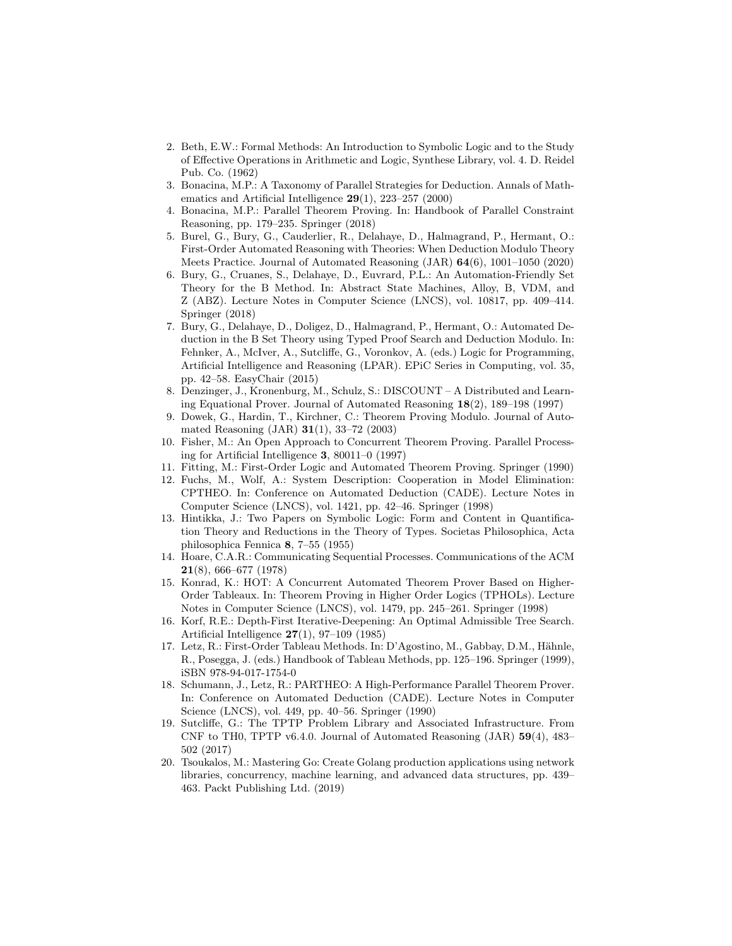- 2. Beth, E.W.: Formal Methods: An Introduction to Symbolic Logic and to the Study of Effective Operations in Arithmetic and Logic, Synthese Library, vol. 4. D. Reidel Pub. Co. (1962)
- 3. Bonacina, M.P.: A Taxonomy of Parallel Strategies for Deduction. Annals of Mathematics and Artificial Intelligence 29(1), 223–257 (2000)
- 4. Bonacina, M.P.: Parallel Theorem Proving. In: Handbook of Parallel Constraint Reasoning, pp. 179–235. Springer (2018)
- 5. Burel, G., Bury, G., Cauderlier, R., Delahaye, D., Halmagrand, P., Hermant, O.: First-Order Automated Reasoning with Theories: When Deduction Modulo Theory Meets Practice. Journal of Automated Reasoning (JAR) 64(6), 1001–1050 (2020)
- 6. Bury, G., Cruanes, S., Delahaye, D., Euvrard, P.L.: An Automation-Friendly Set Theory for the B Method. In: Abstract State Machines, Alloy, B, VDM, and Z (ABZ). Lecture Notes in Computer Science (LNCS), vol. 10817, pp. 409–414. Springer (2018)
- 7. Bury, G., Delahaye, D., Doligez, D., Halmagrand, P., Hermant, O.: Automated Deduction in the B Set Theory using Typed Proof Search and Deduction Modulo. In: Fehnker, A., McIver, A., Sutcliffe, G., Voronkov, A. (eds.) Logic for Programming, Artificial Intelligence and Reasoning (LPAR). EPiC Series in Computing, vol. 35, pp. 42–58. EasyChair (2015)
- 8. Denzinger, J., Kronenburg, M., Schulz, S.: DISCOUNT A Distributed and Learning Equational Prover. Journal of Automated Reasoning 18(2), 189–198 (1997)
- 9. Dowek, G., Hardin, T., Kirchner, C.: Theorem Proving Modulo. Journal of Automated Reasoning (JAR) 31(1), 33–72 (2003)
- 10. Fisher, M.: An Open Approach to Concurrent Theorem Proving. Parallel Processing for Artificial Intelligence 3, 80011–0 (1997)
- 11. Fitting, M.: First-Order Logic and Automated Theorem Proving. Springer (1990)
- 12. Fuchs, M., Wolf, A.: System Description: Cooperation in Model Elimination: CPTHEO. In: Conference on Automated Deduction (CADE). Lecture Notes in Computer Science (LNCS), vol. 1421, pp. 42–46. Springer (1998)
- 13. Hintikka, J.: Two Papers on Symbolic Logic: Form and Content in Quantification Theory and Reductions in the Theory of Types. Societas Philosophica, Acta philosophica Fennica 8, 7–55 (1955)
- 14. Hoare, C.A.R.: Communicating Sequential Processes. Communications of the ACM 21(8), 666–677 (1978)
- 15. Konrad, K.: HOT: A Concurrent Automated Theorem Prover Based on Higher-Order Tableaux. In: Theorem Proving in Higher Order Logics (TPHOLs). Lecture Notes in Computer Science (LNCS), vol. 1479, pp. 245–261. Springer (1998)
- 16. Korf, R.E.: Depth-First Iterative-Deepening: An Optimal Admissible Tree Search. Artificial Intelligence 27(1), 97–109 (1985)
- 17. Letz, R.: First-Order Tableau Methods. In: D'Agostino, M., Gabbay, D.M., Hähnle, R., Posegga, J. (eds.) Handbook of Tableau Methods, pp. 125–196. Springer (1999), iSBN 978-94-017-1754-0
- 18. Schumann, J., Letz, R.: PARTHEO: A High-Performance Parallel Theorem Prover. In: Conference on Automated Deduction (CADE). Lecture Notes in Computer Science (LNCS), vol. 449, pp. 40–56. Springer (1990)
- 19. Sutcliffe, G.: The TPTP Problem Library and Associated Infrastructure. From CNF to TH0, TPTP v6.4.0. Journal of Automated Reasoning (JAR) 59(4), 483– 502 (2017)
- 20. Tsoukalos, M.: Mastering Go: Create Golang production applications using network libraries, concurrency, machine learning, and advanced data structures, pp. 439– 463. Packt Publishing Ltd. (2019)